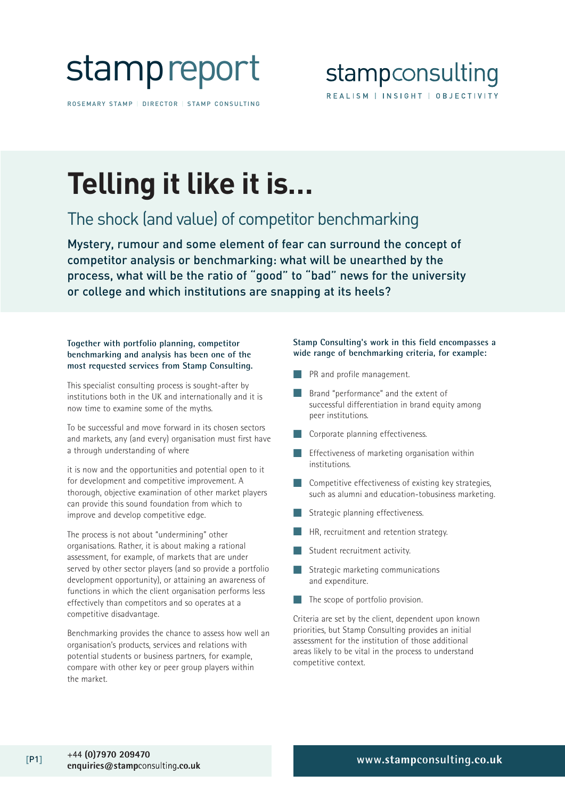

ROSEMARY STAMP | DIRECTOR | STAMP CONSULTING

## **Telling it like it is…**

### The shock (and value) of competitor benchmarking

Mystery, rumour and some element of fear can surround the concept of competitor analysis or benchmarking: what will be unearthed by the process, what will be the ratio of "good" to "bad" news for the university or college and which institutions are snapping at its heels?

#### **Together with portfolio planning, competitor benchmarking and analysis has been one of the most requested services from Stamp Consulting.**

This specialist consulting process is sought-after by institutions both in the UK and internationally and it is now time to examine some of the myths.

To be successful and move forward in its chosen sectors and markets, any (and every) organisation must first have a through understanding of where

it is now and the opportunities and potential open to it for development and competitive improvement. A thorough, objective examination of other market players can provide this sound foundation from which to improve and develop competitive edge.

The process is not about "undermining" other organisations. Rather, it is about making a rational assessment, for example, of markets that are under served by other sector players (and so provide a portfolio development opportunity), or attaining an awareness of functions in which the client organisation performs less effectively than competitors and so operates at a competitive disadvantage.

Benchmarking provides the chance to assess how well an organisation's products, services and relations with potential students or business partners, for example, compare with other key or peer group players within the market.

#### **Stamp Consulting's work in this field encompasses a wide range of benchmarking criteria, for example:**

- PR and profile management.
- Brand "performance" and the extent of successful differentiation in brand equity among peer institutions.
- Corporate planning effectiveness.
- Effectiveness of marketing organisation within institutions.
- Competitive effectiveness of existing key strategies, such as alumni and education-tobusiness marketing.
- Strategic planning effectiveness.
- HR, recruitment and retention strategy.
- Student recruitment activity.
- Strategic marketing communications and expenditure.
- $\blacksquare$  The scope of portfolio provision.

Criteria are set by the client, dependent upon known priorities, but Stamp Consulting provides an initial assessment for the institution of those additional areas likely to be vital in the process to understand competitive context.